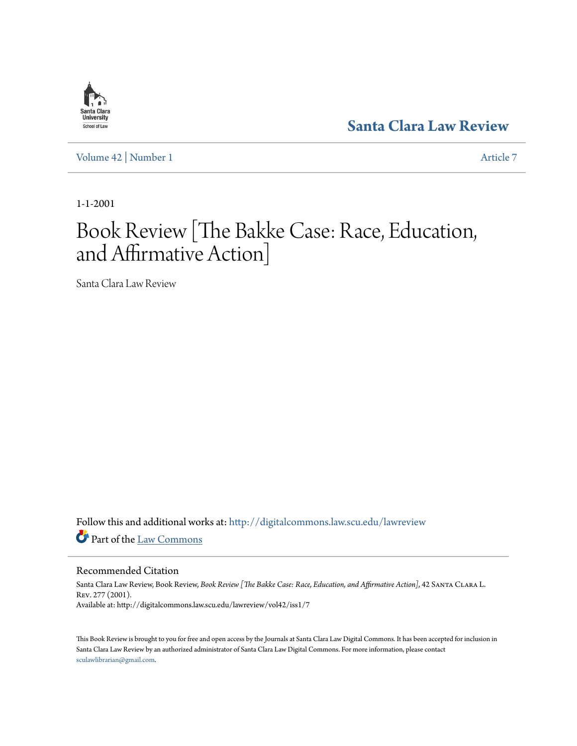

**[Santa Clara Law Review](http://digitalcommons.law.scu.edu/lawreview?utm_source=digitalcommons.law.scu.edu%2Flawreview%2Fvol42%2Fiss1%2F7&utm_medium=PDF&utm_campaign=PDFCoverPages)**

[Volume 42](http://digitalcommons.law.scu.edu/lawreview/vol42?utm_source=digitalcommons.law.scu.edu%2Flawreview%2Fvol42%2Fiss1%2F7&utm_medium=PDF&utm_campaign=PDFCoverPages) | [Number 1](http://digitalcommons.law.scu.edu/lawreview/vol42/iss1?utm_source=digitalcommons.law.scu.edu%2Flawreview%2Fvol42%2Fiss1%2F7&utm_medium=PDF&utm_campaign=PDFCoverPages) [Article 7](http://digitalcommons.law.scu.edu/lawreview/vol42/iss1/7?utm_source=digitalcommons.law.scu.edu%2Flawreview%2Fvol42%2Fiss1%2F7&utm_medium=PDF&utm_campaign=PDFCoverPages)

1-1-2001

# Book Review [The Bakke Case: Race, Education, and Affirmative Action]

Santa Clara Law Review

Follow this and additional works at: [http://digitalcommons.law.scu.edu/lawreview](http://digitalcommons.law.scu.edu/lawreview?utm_source=digitalcommons.law.scu.edu%2Flawreview%2Fvol42%2Fiss1%2F7&utm_medium=PDF&utm_campaign=PDFCoverPages) Part of the [Law Commons](http://network.bepress.com/hgg/discipline/578?utm_source=digitalcommons.law.scu.edu%2Flawreview%2Fvol42%2Fiss1%2F7&utm_medium=PDF&utm_campaign=PDFCoverPages)

Recommended Citation

Santa Clara Law Review, Book Review, *Book Review [The Bakke Case: Race, Education, and Affirmative Action]*, 42 Santa Clara L. Rev. 277 (2001). Available at: http://digitalcommons.law.scu.edu/lawreview/vol42/iss1/7

This Book Review is brought to you for free and open access by the Journals at Santa Clara Law Digital Commons. It has been accepted for inclusion in Santa Clara Law Review by an authorized administrator of Santa Clara Law Digital Commons. For more information, please contact [sculawlibrarian@gmail.com](mailto:sculawlibrarian@gmail.com).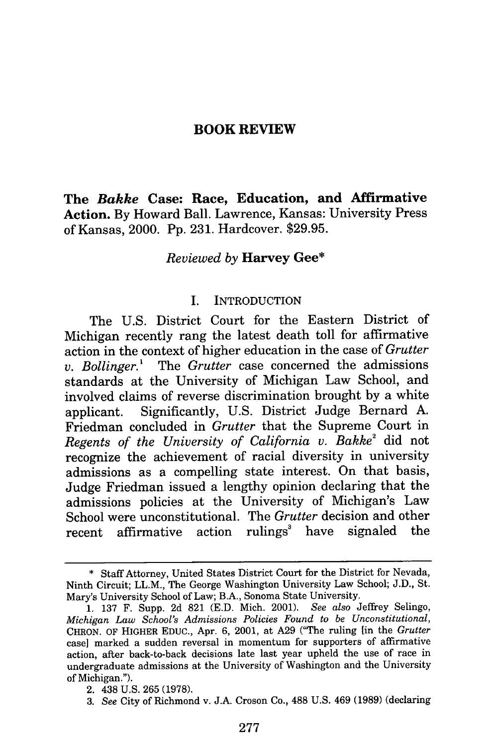#### **BOOK REVIEW**

**The** *Bakke* **Case: Race, Education, and Affirmative Action. By** Howard Ball. Lawrence, Kansas: University Press of Kansas, 2000. **Pp. 231.** Hardcover. **\$29.95.**

#### *Reviewed by* **Harvey Gee\***

#### I. INTRODUCTION

The **U.S.** District Court for the Eastern District of Michigan recently rang the latest death toll for affirmative action in the context of higher education in the case of *Grutter v. Bollinger.'* The *Grutter* case concerned the admissions standards at the University of Michigan Law School, and involved claims of reverse discrimination brought **by** a white applicant. Significantly, **U.S.** District Judge Bernard **A.** Friedman concluded in *Grutter* that the Supreme Court in *Regents of the University of California v. Bakke2* did not recognize the achievement of racial diversity in university admissions as a compelling state interest. On that basis, Judge Friedman issued a lengthy opinion declaring that the admissions policies at the University of Michigan's Law School were unconstitutional. The *Grutter* decision and other recent affirmative action rulings' have signaled the

**<sup>\*</sup>** Staff Attorney, United States District Court for the District for Nevada, Ninth Circuit; LL.M., The George Washington University Law School; **J.D.,** St. Mary's University School of Law; B.A., Sonoma State University.

**<sup>1. 137</sup>** F. Supp. **2d 821 (E.D.** Mich. 2001). *See also* Jeffrey Selingo, *Michigan Law School's Admissions Policies Found to be Unconstitutional,* CHRON. OF HIGHER **EDUC.,** Apr. **6,** 2001, at **A29** ("The ruling [in the *Grutter* case] marked a sudden reversal in momentum for supporters of affirmative action, after back-to-back decisions late last year upheld the use of race in undergraduate admissions at the University of Washington and the University of Michigan.").

<sup>2. 438</sup> **U.S. 265 (1978).**

**<sup>3.</sup>** *See* City of Richmond v. **J.A.** Croson Co., **488 U.S.** 469 **(1989)** (declaring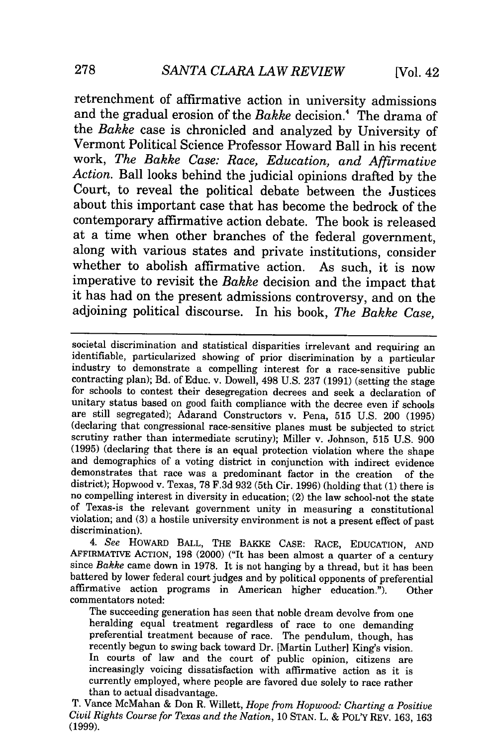retrenchment of affirmative action in university admissions and the gradual erosion of the *Bakke* decision.<sup>4</sup> The drama of the *Bakke* case is chronicled and analyzed by University of Vermont Political Science Professor Howard Ball in his recent work, *The Bakke Case: Race, Education, and Affirmative Action.* Ball looks behind the judicial opinions drafted by the Court, to reveal the political debate between the Justices about this important case that has become the bedrock of the contemporary affirmative action debate. The book is released at a time when other branches of the federal government, along with various states and private institutions, consider whether to abolish affirmative action. As such, it is now imperative to revisit the *Bakke* decision and the impact that it has had on the present admissions controversy, and on the adjoining political discourse. In his book, *The Bakke Case,*

societal discrimination and statistical disparities irrelevant and requiring an identifiable, particularized showing of prior discrimination by a particular industry to demonstrate a compelling interest for a race-sensitiv are still segregated); Adarand Constructors v. Pena, 515 U.S. 200 (1995) (declaring that congressional race-sensitive planes must be subjected to strict scrutiny rather than intermediate scrutiny); Miller v. Johnson, 515 U.S. 900 (1995) (declaring that there is an equal protection violation where the shape and demographics of a voting district in conjunction with indirect evidence demonstrates that race was a predominant factor in the creation of the district); Hopwood v. Texas, 78 F.3d 932 (5th Cir. 1996) (holding that  $(1)$  there is no compelling interest in diversity in education; (2) the law school-not the state of Texas-is the relevant government unity in measuring a constitutional violation; and (3) a hostile university environment is not a present effect of past discrimination).

*4. See* HOWARD BALL, THE BAKKE CASE: RACE, EDUCATION, **AND** AFFIRMATIVE ACTION, 198 (2000) ("It has been almost a quarter of a century since *Bakke* came down in 1978. It is not hanging by a thread, but it has been battered by lower federal court judges and by political opponents of preferential affirmative action programs in American higher education."). Other commentators noted:

The succeeding generation has seen that noble dream devolve from one heralding equal treatment regardless of race to one demanding preferential treatment because of race. The pendulum, though, has recently begun to swing back toward Dr. [Martin Luther] King's vision. In courts of law and the court of public opinion, citizens are increasingly voicing dissatisfaction with affirmative action as it is currently employed, where people are favored due solely to race rather than to actual disadvantage.

T. Vance McMahan & Don R. Willett, *Hope from Hopwood: Charting a Positive Civil Rights Course for Texas and the Nation,* 10 STAN. L. & POLy REV. 163, 163 (1999).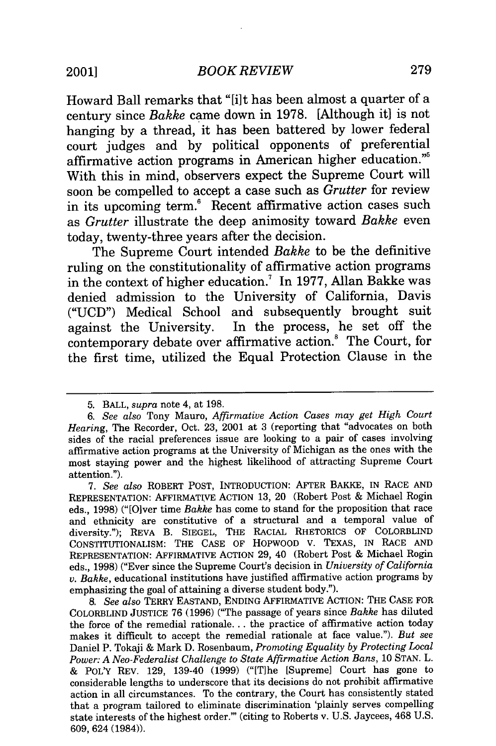Howard Ball remarks that "[i]t has been almost a quarter of a century since *Bakke* came down in 1978. [Although it] is not hanging by a thread, it has been battered by lower federal court judges and by political opponents of preferential affirmative action programs in American higher education." With this in mind, observers expect the Supreme Court will soon be compelled to accept a case such as *Grutter* for review in its upcoming term.<sup>6</sup> Recent affirmative action cases such as *Grutter* illustrate the deep animosity toward *Bakke* even today, twenty-three years after the decision.

The Supreme Court intended *Bakke* to be the definitive ruling on the constitutionality of affirmative action programs in the context of higher education.<sup>7</sup> In 1977, Allan Bakke was denied admission to the University of California, Davis ("UCD") Medical School and subsequently brought suit against the University. In the process, he set off the contemporary debate over affirmative action.! The Court, for the first time, utilized the Equal Protection Clause in the

<sup>5.</sup> BALL, *supra* note 4, at 198.

*<sup>6.</sup> See also* Tony Mauro, *Affirmative Action Cases may get High Court Hearing,* The Recorder, Oct. **23,** 2001 at 3 (reporting that "advocates on both sides of the racial preferences issue are looking to a pair of cases involving affirmative action programs at the University of Michigan as the ones with the most staying power and the highest likelihood of attracting Supreme Court attention.").

<sup>7.</sup> *See also* ROBERT POST, INTRODUCTION: AFTER BAKKE, IN RACE AND REPRESENTATION: AFFIRMATIVE ACTION 13, 20 (Robert Post & Michael Rogin eds., 1998) ("[Olver time *Bakke* has come to stand for the proposition that race and ethnicity are constitutive of a structural and a temporal value of diversity."); REVA B. SIEGEL, THE RACIAL RHETORICS OF COLORBLIND CONSTITUTIONALISM: THE CASE OF HOPWOOD V. TEXAS, IN RACE AND REPRESENTATION: AFFIRMATIVE ACTION 29, 40 (Robert Post & Michael Rogin eds., 1998) ("Ever since the Supreme Court's decision in *University of California v. Bakke,* educational institutions have justified affirmative action programs by emphasizing the goal of attaining a diverse student body.").

*<sup>8.</sup> See also* TERRY EASTAND, ENDING AFFIRMATIVE ACTION: THE CASE FOR COLORBLIND JUSTICE 76 (1996) ("The passage of years since *Bakke* has diluted the force of the remedial rationale... the practice of affirmative action today makes it difficult to accept the remedial rationale at face value."). *But see* Daniel P. Tokaji & Mark D. Rosenbaum, *Promoting Equality by Protecting Local Power: A Neo-Federalist Challenge to State Affirmative Action Bans,* 10 STAN. L. & POLY REV. 129, 139-40 (1999) ("[T]he [Supreme] Court has gone to considerable lengths to underscore that its decisions do not prohibit affirmative action in all circumstances. To the contrary, the Court has consistently stated that a program tailored to eliminate discrimination 'plainly serves compelling state interests of the highest order."' (citing to Roberts v. U.S. Jaycees, 468 U.S. 609, 624 (1984)).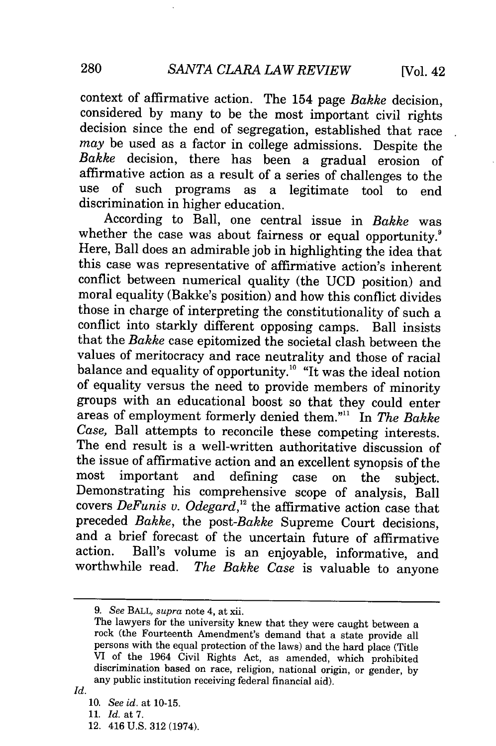context of affirmative action. The 154 page *Bakke* decision, considered by many to be the most important civil rights decision since the end of segregation, established that race *may* be used as a factor in college admissions. Despite the *Bakke* decision, there has been a gradual erosion of affirmative action as a result of a series of challenges to the use of such programs as a legitimate tool to end discrimination in higher education.

According to Ball, one central issue in *Bakke* was whether the case was about fairness or equal opportunity.<sup>9</sup> Here, Ball does an admirable job in highlighting the idea that this case was representative of affirmative action's inherent conflict between numerical quality (the UCD position) and moral equality (Bakke's position) and how this conflict divides those in charge of interpreting the constitutionality of such a conflict into starkly different opposing camps. Ball insists that the *Bakke* case epitomized the societal clash between the values of meritocracy and race neutrality and those of racial balance and equality of opportunity.<sup>10</sup> "It was the ideal notion of equality versus the need to provide members of minority groups with an educational boost so that they could enter areas of employment formerly denied them."" In *The Bakke Case,* Ball attempts to reconcile these competing interests. The end result is a well-written authoritative discussion of the issue of affirmative action and an excellent synopsis of the most important and defining case on the subject. Demonstrating his comprehensive scope of analysis, Ball covers *DeFunis v. Odegard,"* the affirmative action case that preceded *Bakke,* the *post-Bakke* Supreme Court decisions, and a brief forecast of the uncertain future of affirmative action. Ball's volume is an enjoyable, informative, and worthwhile read. *The Bakke Case* is valuable to anyone

*<sup>9.</sup> See* BALL, *supra* note 4, at xii.

The lawyers for the university knew that they were caught between a rock (the Fourteenth Amendment's demand that a state provide all persons with the equal protection of the laws) and the hard place (Title VI of the 1964 Civil Rights Act, as amended, which prohibited discrimination based on race, religion, national origin, or gender, by any public institution receiving federal financial aid).

*Id.*

<sup>10.</sup> *See id.* at 10-15.

<sup>11.</sup> *Id.* at 7.

<sup>12. 416</sup> U.S. 312 (1974).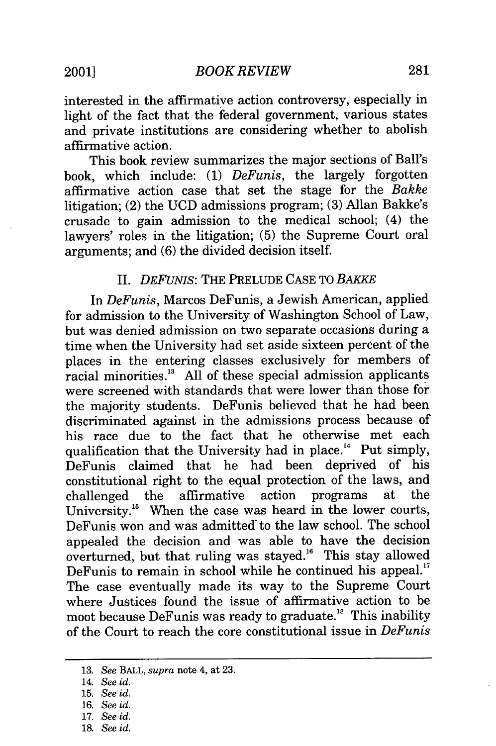interested in the affirmative action controversy, especially in light of the fact that the federal government, various states and private institutions are considering whether to abolish affirmative action.

This book review summarizes the major sections of Ball's book, which include: (1) *DeFunis,* the largely forgotten affirmative action case that set the stage for the *Bakke* litigation; (2) the UCD admissions program; (3) Allan Bakke's crusade to gain admission to the medical school; (4) the lawyers' roles in the litigation; (5) the Supreme Court oral arguments; and (6) the divided decision itself.

## II. *DEFUNIS:* THE PRELUDE CASE TO *BAKKE*

In *DeFunis,* Marcos DeFunis, a Jewish American, applied for admission to the University of Washington School of Law, but was denied admission on two separate occasions during a time when the University had set aside sixteen percent of the places in the entering classes exclusively for members of racial minorities." All of these special admission applicants were screened with standards that were lower than those for the majority students. DeFunis believed that he had been discriminated against in the admissions process because of his race due to the fact that he otherwise met each qualification that the University had in place.<sup>14</sup> Put simply, DeFunis claimed that he had been deprived of his constitutional right to the equal protection of the laws, and challenged the affirmative action programs at the University.<sup>15</sup> When the case was heard in the lower courts, DeFunis won and was admitted' to the law school. The school appealed the decision and was able to have the decision overturned, but that ruling was stayed.<sup>16</sup> This stay allowed DeFunis to remain in school while he continued his appeal.<sup>17</sup> The case eventually made its way to the Supreme Court where Justices found the issue of affirmative action to be moot because DeFunis was ready to graduate.<sup>18</sup> This inability of the Court to reach the core constitutional issue in *DeFunis*

<sup>13.</sup> *See* BALL, *supra* note 4, at 23.

<sup>14.</sup> *See id.*

<sup>15.</sup> *See id.*

<sup>16.</sup> *See id.*

<sup>17.</sup> *See id.*

<sup>18.</sup> *See id.*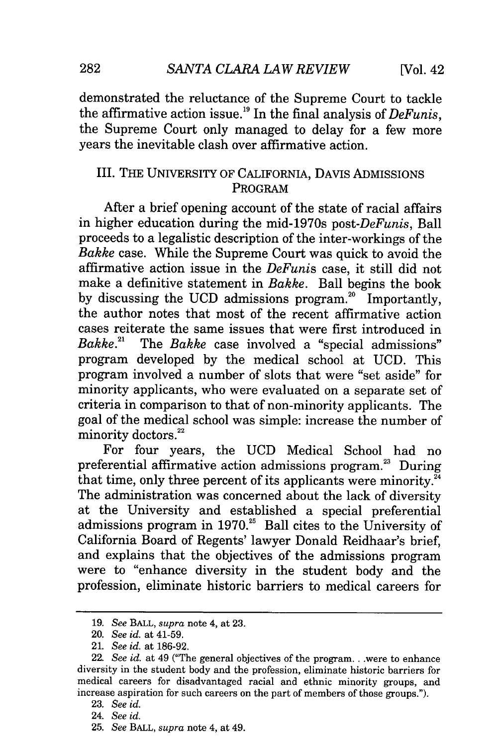demonstrated the reluctance of the Supreme Court to tackle the affirmative action issue.19 In the final analysis of *DeFunis,* the Supreme Court only managed to delay for a few more years the inevitable clash over affirmative action.

# III. THE UNIVERSITY OF CALIFORNIA, DAVIS ADMISSIONS PROGRAM

After a brief opening account of the state of racial affairs in higher education during the mid-1970s *post-DeFunis,* Ball proceeds to a legalistic description of the inter-workings of the *Bakke* case. While the Supreme Court was quick to avoid the affirmative action issue in the *DeFunis* case, it still did not make a definitive statement in *Bakke.* Ball begins the book by discussing the UCD admissions program.<sup>20</sup> Importantly, the author notes that most of the recent affirmative action cases reiterate the same issues that were first introduced in *Bakke.*<sup>21</sup> The *Bakke* case involved a "special admissions" program developed by the medical school at UCD. This program involved a number of slots that were "set aside" for minority applicants, who were evaluated on a separate set of criteria in comparison to that of non-minority applicants. The goal of the medical school was simple: increase the number of minority doctors.<sup>22</sup>

For four years, the UCD Medical School had no preferential affirmative action admissions program.<sup>23</sup> During that time, only three percent of its applicants were minority. $^{\mathbb{Z}_4}$ The administration was concerned about the lack of diversity at the University and established a special preferential admissions program in  $1970$ <sup>25</sup> Ball cites to the University of California Board of Regents' lawyer Donald Reidhaar's brief, and explains that the objectives of the admissions program were to "enhance diversity in the student body and the profession, eliminate historic barriers to medical careers for

<sup>19.</sup> *See* BALL, *supra* note 4, at 23.

<sup>20.</sup> *See id.* at 41-59.

<sup>21.</sup> *See id.* at 186-92.

<sup>22.</sup> *See id.* at 49 ("The general objectives of the program...were to enhance diversity in the student body and the profession, eliminate historic barriers for medical careers for disadvantaged racial and ethnic minority groups, and increase aspiration for such careers on the part of members of those groups.").

<sup>23.</sup> *See id.*

<sup>24.</sup> *See id.*

<sup>25.</sup> *See* BALL, *supra* note 4, at 49.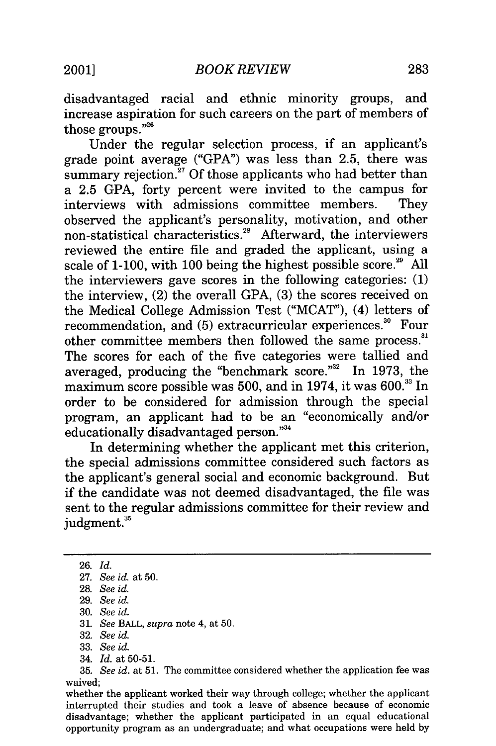disadvantaged racial and ethnic minority groups, and increase aspiration for such careers on the part of members of those groups."26

Under the regular selection process, if an applicant's grade point average ("GPA") was less than 2.5, there was summary rejection.<sup>27</sup> Of those applicants who had better than a 2.5 GPA, forty percent were invited to the campus for interviews with admissions committee members. They observed the applicant's personality, motivation, and other non-statistical characteristics.<sup>28</sup> Afterward, the interviewers reviewed the entire file and graded the applicant, using a scale of 1-100, with 100 being the highest possible score.<sup>29</sup> All the interviewers gave scores in the following categories: (1) the interview, (2) the overall GPA, (3) the scores received on the Medical College Admission Test ("MCAT"), (4) letters of recommendation, and  $(5)$  extracurricular experiences.<sup>30</sup> Four other committee members then followed the same process." The scores for each of the five categories were tallied and averaged, producing the "benchmark score."<sup>32</sup> In 1973, the maximum score possible was 500, and in 1974, it was 600." In order to be considered for admission through the special program, an applicant had to be an "economically and/or educationally disadvantaged person."<sup>34</sup>

In determining whether the applicant met this criterion, the special admissions committee considered such factors as the applicant's general social and economic background. But if the candidate was not deemed disadvantaged, the file was sent to the regular admissions committee for their review and judgment.<sup>35</sup>

32. *See id.*

34. *Id.* at 50-51.

<sup>26.</sup> *Id.*

<sup>27.</sup> *See id.* at 50.

<sup>28.</sup> *See id.*

<sup>29.</sup> *See id.*

<sup>30.</sup> *See id.*

<sup>31.</sup> *See* BALL, *supra* note 4, at 50.

<sup>33.</sup> *See id.*

<sup>35.</sup> *See id.* at 51. The committee considered whether the application fee was waived;

whether the applicant worked their way through college; whether the applicant interrupted their studies and took a leave of absence because of economic disadvantage; whether the applicant participated in an equal educational opportunity program as an undergraduate; and what occupations were held by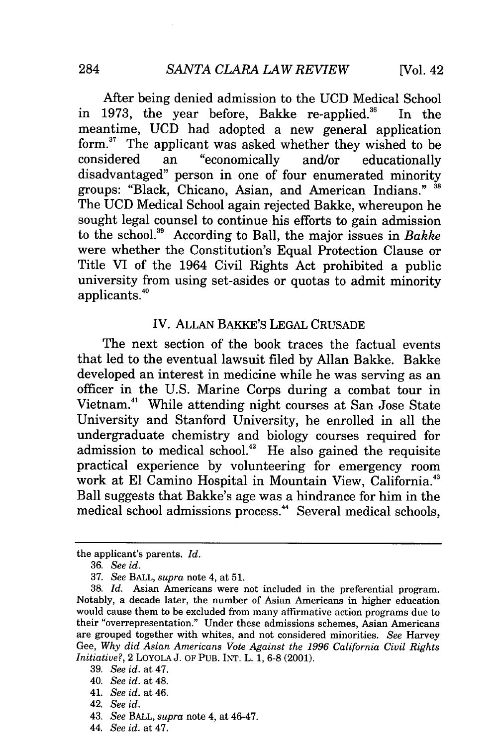After being denied admission to the UCD Medical School in 1973, the year before, Bakke re-applied.<sup>36</sup> In the meantime, UCD had adopted a new general application form.<sup>37</sup> The applicant was asked whether they wished to be considered an "economically and/or educationally considered an "economically and/or educationally disadvantaged" person in one of four enumerated minority groups: "Black, Chicano, Asian, and American Indians." <sup>38</sup> The UCD Medical School again rejected Bakke, whereupon he sought legal counsel to continue his efforts to gain admission to the school.39 According to Ball, the major issues in *Bakke* were whether the Constitution's Equal Protection Clause or Title VI of the 1964 Civil Rights Act prohibited a public university from using set-asides or quotas to admit minority applicants. °

#### IV. ALLAN BAKKE'S LEGAL CRUSADE

The next section of the book traces the factual events that led to the eventual lawsuit filed by Allan Bakke. Bakke developed an interest in medicine while he was serving as an officer in the U.S. Marine Corps during a combat tour in Vietnam.4' While attending night courses at San Jose State University and Stanford University, he enrolled in all the undergraduate chemistry and biology courses required for admission to medical school.<sup>42</sup> He also gained the requisite practical experience by volunteering for emergency room work at El Camino Hospital in Mountain View, California.<sup>43</sup> Ball suggests that Bakke's age was a hindrance for him in the medical school admissions process.<sup>44</sup> Several medical schools,

the applicant's parents. *Id.*

<sup>36.</sup> *See id.*

<sup>37.</sup> *See* BALL, *supra* note 4, at 51.

<sup>38.</sup> *Id.* Asian Americans were not included in the preferential program. Notably, a decade later, the number of Asian Americans in higher education would cause them to be excluded from many affirmative action programs due to their "overrepresentation." Under these admissions schemes, Asian Americans are grouped together with whites, and not considered minorities. *See* Harvey Gee, *Why did Asian Americans Vote Against the 1996 California Civil Rights Initiative?,* 2 LOYOLA J. OF PUB. INT. L. 1, **6-8** (2001).

<sup>39.</sup> *See id.* at 47.

<sup>40.</sup> *See id.* at 48.

<sup>41.</sup> *See id.* at 46.

<sup>42.</sup> *See id.*

<sup>43.</sup> *See* BALL, *supra* note 4, at 46-47.

<sup>44.</sup> *See id.* at 47.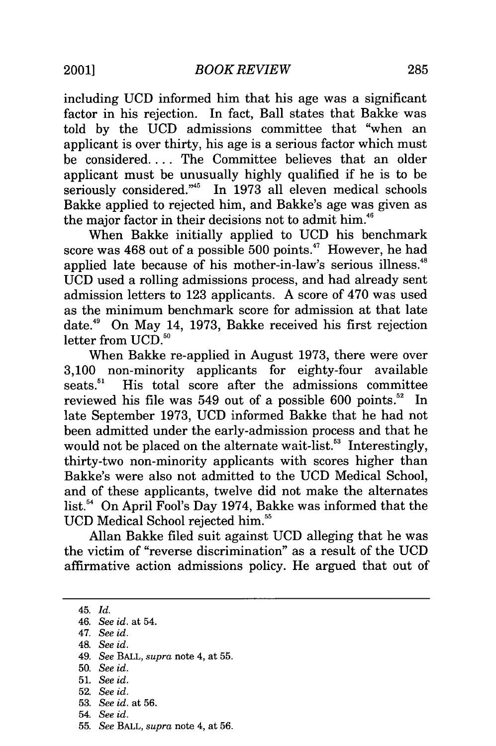including UCD informed him that his age was a significant factor in his rejection. In fact, Ball states that Bakke was told by the UCD admissions committee that "when an applicant is over thirty, his age is a serious factor which must be considered.... The Committee believes that an older applicant must be unusually highly qualified if he is to be seriously considered."<sup>45</sup> In 1973 all eleven medical schools Bakke applied to rejected him, and Bakke's age was given as the major factor in their decisions not to admit him.<sup>46</sup>

When Bakke initially applied to UCD his benchmark score was  $468$  out of a possible  $500$  points.<sup>47</sup> However, he had applied late because of his mother-in-law's serious illness.<sup>48</sup> UCD used a rolling admissions process, and had already sent admission letters to 123 applicants. A score of 470 was used as the minimum benchmark score for admission at that late date.49 On May 14, 1973, Bakke received his first rejection letter from UCD.<sup>50</sup>

When Bakke re-applied in August 1973, there were over 3,100 non-minority applicants for eighty-four available seats.<sup>51</sup> His total score after the admissions committee reviewed his file was  $549$  out of a possible  $600$  points.<sup>52</sup> In late September 1973, UCD informed Bakke that he had not been admitted under the early-admission process and that he would not be placed on the alternate wait-list.<sup>53</sup> Interestingly, thirty-two non-minority applicants with scores higher than Bakke's were also not admitted to the UCD Medical School, and of these applicants, twelve did not make the alternates list.<sup>54</sup> On April Fool's Day 1974, Bakke was informed that the UCD Medical School rejected him.<sup>55</sup>

Allan Bakke filed suit against UCD alleging that he was the victim of "reverse discrimination" as a result of the UCD affirmative action admissions policy. He argued that out of

- 47. *See id.*
- 48. *See id.*
- 49. *See* BALL, *supra* note 4, at 55.
- 50. *See id.*
- 51. *See id.*
- 52. *See id.*
- 53. *See id.* at 56.
- 54. *See id.*
- 55. *See* BALL, *supra* note 4, at 56.

<sup>45.</sup> *Id.*

<sup>46.</sup> *See id.* at 54.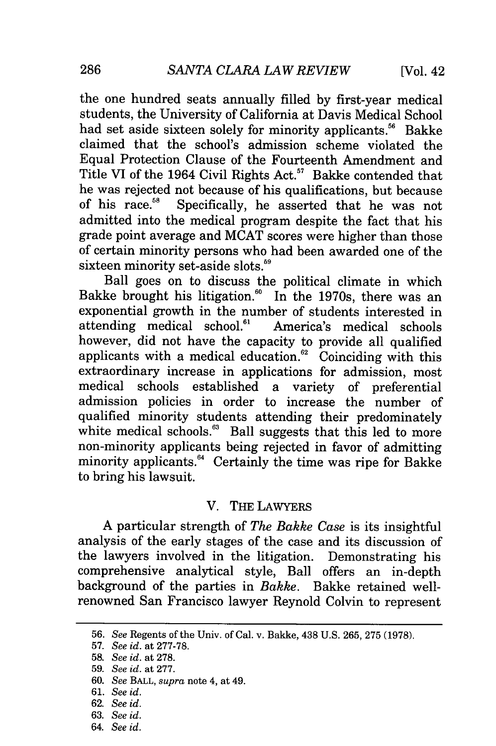the one hundred seats annually filled by first-year medical students, the University of California at Davis Medical School had set aside sixteen solely for minority applicants.<sup>56</sup> Bakke claimed that the school's admission scheme violated the Equal Protection Clause of the Fourteenth Amendment and Title VI of the 1964 Civil Rights Act.<sup>57</sup> Bakke contended that he was rejected not because of his qualifications, but because of his race.<sup>58</sup> Specifically, he asserted that he was not admitted into the medical program despite the fact that his grade point average and MCAT scores were higher than those of certain minority persons who had been awarded one of the sixteen minority set-aside slots. $59$ 

Ball goes on to discuss the political climate in which Bakke brought his litigation." In the 1970s, there was an exponential growth in the number of students interested in attending medical school.<sup>61</sup> America's medical schools however, did not have the capacity to provide all qualified applicants with a medical education. $e^{i\omega}$  Coinciding with this extraordinary increase in applications for admission, most medical schools established a variety of preferential admission policies in order to increase the number of qualified minority students attending their predominately white medical schools.<sup>63</sup> Ball suggests that this led to more non-minority applicants being rejected in favor of admitting minority applicants.<sup>64</sup> Certainly the time was ripe for Bakke to bring his lawsuit.

## V. THE LAWYERS

A particular strength of *The Bakke Case* is its insightful analysis of the early stages of the case and its discussion of the lawyers involved in the litigation. Demonstrating his comprehensive analytical style, Ball offers an in-depth background of the parties in *Bakke.* Bakke retained wellrenowned San Francisco lawyer Reynold Colvin to represent

<sup>56.</sup> *See* Regents of the Univ. of Cal. v. Bakke, 438 U.S. 265, 275 (1978).

<sup>57.</sup> *See id.* at 277-78.

<sup>58.</sup> *See id.* at 278.

<sup>59.</sup> *See id.* at 277.

<sup>60.</sup> *See* BALL, *supra* note 4, at 49.

<sup>61.</sup> *See id.*

<sup>62.</sup> *See id.*

<sup>63.</sup> *See id.*

<sup>64.</sup> *See id.*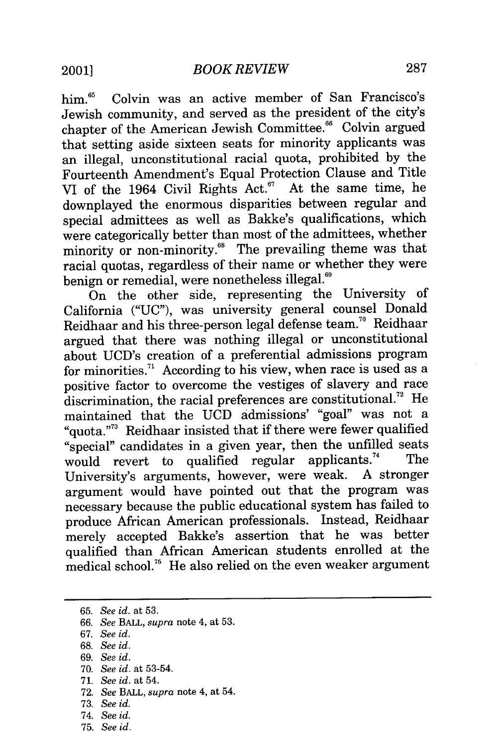him.<sup>65</sup> Colvin was an active member of San Francisco's Jewish community, and served as the president of the city's chapter of the American Jewish Committee.<sup>66</sup> Colvin argued that setting aside sixteen seats for minority applicants was an illegal, unconstitutional racial quota, prohibited by the Fourteenth Amendment's Equal Protection Clause and Title VI of the 1964 Civil Rights Act. $57$  At the same time, he downplayed the enormous disparities between regular and special admittees as well as Bakke's qualifications, which were categorically better than most of the admittees, whether minority or non-minority.<sup>68</sup> The prevailing theme was that racial quotas, regardless of their name or whether they were benign or remedial, were nonetheless illegal.<sup>69</sup>

On the other side, representing the University of California ("UC"), was university general counsel Donald Reidhaar and his three-person legal defense team.<sup>70</sup> Reidhaar argued that there was nothing illegal or unconstitutional about UCD's creation of a preferential admissions program for minorities.<sup>71</sup> According to his view, when race is used as a positive factor to overcome the vestiges of slavery and race discrimination, the racial preferences are constitutional.<sup>72</sup> He maintained that the UCD admissions' "goal" was not a "quota."3 Reidhaar insisted that if there were fewer qualified "special" candidates in a given year, then the unfilled seats would revert to qualified regular applicants.<sup>74</sup> The University's arguments, however, were weak. A stronger argument would have pointed out that the program was necessary because the public educational system has failed to produce African American professionals. Instead, Reidhaar merely accepted Bakke's assertion that he was better qualified than African American students enrolled at the medical school.<sup>75</sup> He also relied on the even weaker argument

- 69. *See id.*
- 70. *See id.* at 53-54.
- 71. *See id.* at 54.
- 72. *See* BALL, *supra* note 4, at 54.
- 73. *See id.*
- 74. *See id.*
- 75. *See id.*

<sup>65.</sup> *See id.* at 53.

<sup>66.</sup> *See* BALL, *supra* note 4, at 53.

<sup>67.</sup> *See id.*

<sup>68.</sup> *See id.*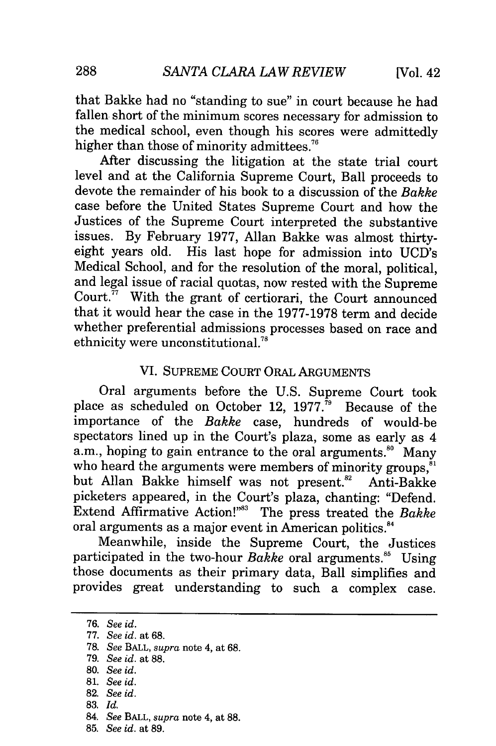that Bakke had no "standing to sue" in court because he had fallen short of the minimum scores necessary for admission to the medical school, even though his scores were admittedly higher than those of minority admittees.<sup>76</sup>

After discussing the litigation at the state trial court level and at the California Supreme Court, Ball proceeds to devote the remainder of his book to a discussion of the *Bakke* case before the United States Supreme Court and how the Justices of the Supreme Court interpreted the substantive issues. By February 1977, Allan Bakke was almost thirtyeight years old. His last hope for admission into UCD's Medical School, and for the resolution of the moral, political, and legal issue of racial quotas, now rested with the Supreme Court. $^{\bar{7}}$  With the grant of certiorari, the Court announced that it would hear the case in the 1977-1978 term and decide whether preferential admissions processes based on race and ethnicity were unconstitutional. $^{78}$ 

# VI. SUPREME COURT ORAL ARGUMENTS

Oral arguments before the U.S. Supreme Court took place as scheduled on October 12, 1977.<sup> $\bar{7}$ </sup> Because of the importance of the *Bakke* case, hundreds of would-be spectators lined up in the Court's plaza, some as early as 4 a.m., hoping to gain entrance to the oral arguments.<sup>80</sup> Many who heard the arguments were members of minority groups,<sup>81</sup> but Allan Bakke himself was not present.<sup>82</sup> Anti-Bakke picketers appeared, in the Court's plaza, chanting: "Defend. Extend Affirmative Action!"" The press treated the *Bakke* oral arguments as a major event in American politics.<sup>84</sup>

Meanwhile, inside the Supreme Court, the Justices participated in the two-hour *Bakke* oral arguments.<sup>86</sup> Using those documents as their primary data, Ball simplifies and provides great understanding to such a complex case.

83. *Id.*

<sup>76.</sup> *See id.*

<sup>77.</sup> *See id.* at 68.

<sup>78.</sup> *See* BALL, *supra* note 4, at 68.

<sup>79.</sup> *See id.* at 88.

<sup>80.</sup> *See id.*

<sup>81.</sup> *See id.*

<sup>82.</sup> *See id.*

<sup>84.</sup> *See* BALL, *supra* note 4, at 88.

<sup>85.</sup> *See id.* at 89.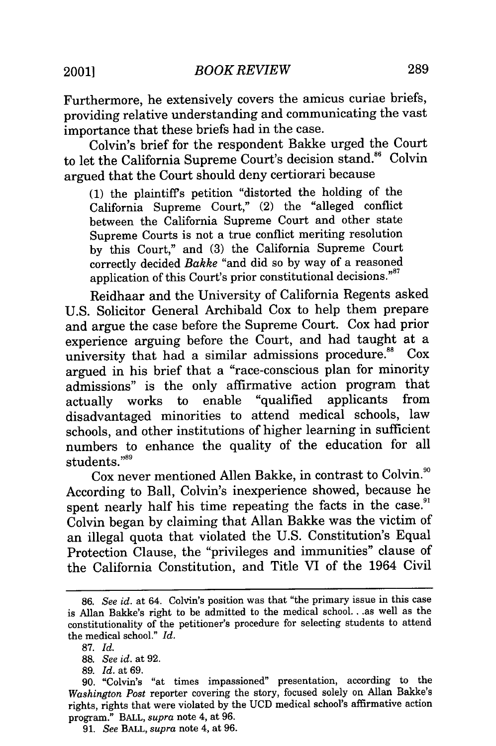Furthermore, he extensively covers the amicus curiae briefs, providing relative understanding and communicating the vast importance that these briefs had in the case.

Colvin's brief for the respondent Bakke urged the Court to let the California Supreme Court's decision stand.<sup>86</sup> Colvin argued that the Court should deny certiorari because

(1) the plaintiffs petition "distorted the holding of the California Supreme Court," (2) the "alleged conflict between the California Supreme Court and other state Supreme Courts is not a true conflict meriting resolution by this Court," and (3) the California Supreme Court correctly decided *Bakke* "and did so by way of a reasoned application of this Court's prior constitutional decisions."<sup>87</sup>

Reidhaar and the University of California Regents asked U.S. Solicitor General Archibald Cox to help them prepare and argue the case before the Supreme Court. Cox had prior experience arguing before the Court, and had taught at a university that had a similar admissions procedure.<sup>88</sup> Cox argued in his brief that a "race-conscious plan for minority admissions" is the only affirmative action program that actually works to enable "qualified applicants from disadvantaged minorities to attend medical schools, law schools, and other institutions of higher learning in sufficient numbers to enhance the quality of the education for all students."89

Cox never mentioned Allen Bakke, in contrast to Colvin."° According to Ball, Colvin's inexperience showed, because he spent nearly half his time repeating the facts in the case.<sup>91</sup> Colvin began by claiming that Allan Bakke was the victim of an illegal quota that violated the U.S. Constitution's Equal Protection Clause, the "privileges and immunities" clause of the California Constitution, and Title VI of the 1964 Civil

<sup>86.</sup> *See id.* at 64. Colvin's position was that "the primary issue in this case is Allan Bakke's right to be admitted to the medical school... as well as the constitutionality of the petitioner's procedure for selecting students to attend the medical school." *Id.*

<sup>87.</sup> *Id.*

<sup>88.</sup> *See id.* at 92.

<sup>89.</sup> *Id.* at 69.

<sup>90. &</sup>quot;Colvin's "at times impassioned" presentation, according to the *Washington Post* reporter covering the story, focused solely on Allan Bakke's rights, rights that were violated by the UCD medical school's affirmative action program." BALL, *supra* note 4, at 96.

<sup>91.</sup> *See* BALL, *supra* note 4, at 96.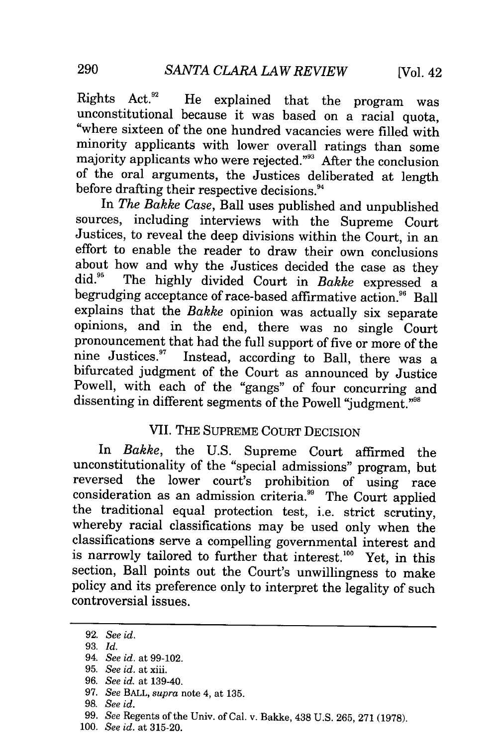Rights Act.<sup>92</sup> He explained that the program was unconstitutional because it was based on a racial quota, "where sixteen of the one hundred vacancies were filled with minority applicants with lower overall ratings than some majority applicants who were rejected."93 After the conclusion of the oral arguments, the Justices deliberated at length before drafting their respective decisions.<sup>94</sup>

In *The Bakke Case,* Ball uses published and unpublished sources, including interviews with the Supreme Court Justices, to reveal the deep divisions within the Court, in an effort to enable the reader to draw their own conclusions about how and why the Justices decided the case as they did." The highly divided Court in *Bakke* expressed a begrudging acceptance of race-based affirmative action.<sup>96</sup> Ball explains that the *Bakke* opinion was actually six separate opinions, and in the end, there was no single Court pronouncement that had the full support of five or more of the nine Justices.<sup>97</sup> Instead, according to Ball, there was a bifurcated judgment of the Court as announced by Justice Powell, with each of the "gangs" of four concurring and dissenting in different segments of the Powell "judgment."<sup>98</sup>

## VII. THE SUPREME COURT DECISION

In *Bakke,* the U.S. Supreme Court affirmed the unconstitutionality of the "special admissions" program, but reversed the lower court's prohibition of using race consideration as an admission criteria.<sup>99</sup> The Court applied the traditional equal protection test, i.e. strict scrutiny, whereby racial classifications may be used only when the classifications serve a compelling governmental interest and is narrowly tailored to further that interest.<sup>100</sup> Yet, in this section, Ball points out the Court's unwillingness to make policy and its preference only to interpret the legality of such controversial issues.

<sup>92.</sup> *See id.*

<sup>93.</sup> *Id.*

<sup>94.</sup> *See id.* at 99-102.

<sup>95.</sup> *See id.* at xiii.

<sup>96.</sup> *See id.* at 139-40.

<sup>97.</sup> *See* BALL, *supra* note 4, at 135.

**<sup>98.</sup>** *See id.*

<sup>99.</sup> *See* Regents of the Univ. of Cal. v. Bakke, 438 U.S. 265, 271 (1978).

<sup>100.</sup> *See id.* at 315-20.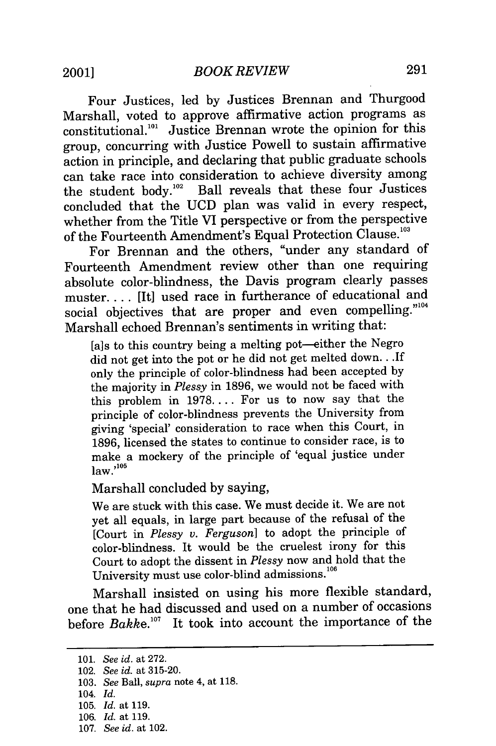Four Justices, led by Justices Brennan and Thurgood Marshall, voted to approve affirmative action programs as  $\text{constitutional.}^{101}$  Justice Brennan wrote the opinion for this group, concurring with Justice Powell to sustain affirmative action in principle, and declaring that public graduate schools can take race into consideration to achieve diversity among the student body.<sup>102</sup> Ball reveals that these four Justices concluded that the UCD plan was valid in every respect, whether from the Title VI perspective or from the perspective of the Fourteenth Amendment's Equal Protection Clause.'

For Brennan and the others, "under any standard of Fourteenth Amendment review other than one requiring absolute color-blindness, the Davis program clearly passes muster.... [It] used race in furtherance of educational and social objectives that are proper and even compelling."<sup>104</sup> Marshall echoed Brennan's sentiments in writing that:

[a]s to this country being a melting pot-either the Negro did not get into the pot or he did not get melted down.. *.If* only the principle of color-blindness had been accepted by the majority in *Plessy* in 1896, we would not be faced with this problem in 1978.... For us to now say that the principle of color-blindness prevents the University from giving 'special' consideration to race when this Court, in 1896, licensed the states to continue to consider race, is to make a mockery of the principle of 'equal justice under  $law.<sup>105</sup>$ 

Marshall concluded by saying,

We are stuck with this case. We must decide it. We are not yet all equals, in large part because of the refusal of the [Court in *Plessy v. Ferguson]* to adopt the principle of color-blindness. It would be the cruelest irony for this Court to adopt the dissent in *Plessy* now and hold that the University must use color-blind admissions.<sup>106</sup>

Marshall insisted on using his more flexible standard, one that he had discussed and used on a number of occasions before *Bakke. °7* It took into account the importance of the

<sup>101.</sup> *See id.* at 272.

<sup>102.</sup> *See id.* at 315-20.

<sup>103.</sup> *See* Ball, *supra* note 4, at 118.

<sup>104.</sup> *Id.*

<sup>105.</sup> *Id.* at 119.

<sup>106.</sup> *Id.* at 119.

<sup>107.</sup> *See id.* at 102.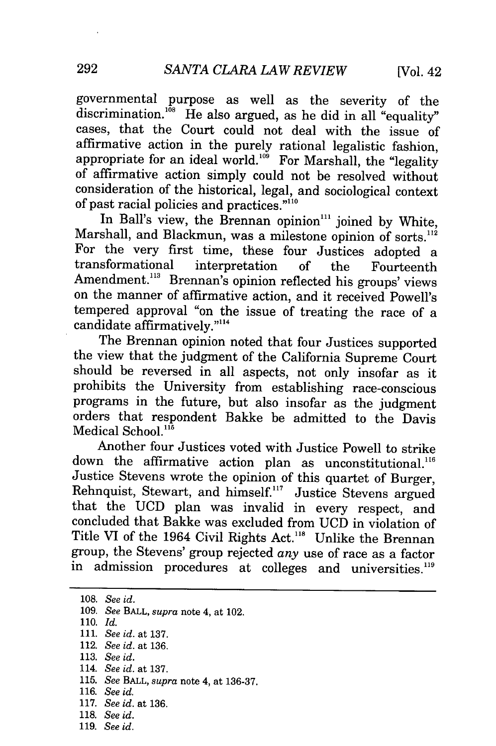governmental purpose as well as the severity of the discrimination.<sup>108</sup> He also argued, as he did in all "equality" cases, that the Court could not deal with the issue of affirmative action in the purely rational legalistic fashion, appropriate for an ideal world. $109$  For Marshall, the "legality" of affirmative action simply could not be resolved without consideration of the historical, legal, and sociological context of past racial policies and practices. $"$ <sup>110</sup>

In Ball's view, the Brennan opinion<sup>111</sup> joined by White, Marshall, and Blackmun, was a milestone opinion of sorts.<sup>112</sup> For the very first time, these four Justices adopted a transformational interpretation of the Fourteenth Amendment.<sup>113</sup> Brennan's opinion reflected his groups' views on the manner of affirmative action, and it received Powell's tempered approval "on the issue of treating the race of a candidate affirmatively."<sup>114</sup>

The Brennan opinion noted that four Justices supported the view that the judgment of the California Supreme Court should be reversed in all aspects, not only insofar as it prohibits the University from establishing race-conscious programs in the future, but also insofar as the judgment orders that respondent Bakke be admitted to the Davis Medical School. $115$ 

Another four Justices voted with Justice Powell to strike down the affirmative action plan as unconstitutional.<sup>116</sup> Justice Stevens wrote the opinion of this quartet of Burger, Rehnquist, Stewart, and himself.<sup>117</sup> Justice Stevens argued that the UCD plan was invalid in every respect, and concluded that Bakke was excluded from UCD in violation of Title VI of the 1964 Civil Rights Act."8 Unlike the Brennan group, the Stevens' group rejected *any* use of race as a factor in admission procedures at colleges and universities.<sup>119</sup>

<sup>108.</sup> *See id.* 109. *See* BALL, *supra* note 4, at 102. 110. *Id.* 111. *See id.* at 137. 112. *See id.* at 136. 113. *See id.* 114. *See id.* at 137. 115. *See* BALL, *supra* note 4, at 136-37. 116. *See id.* 117. *See id.* at 136. 118. *See id.*

<sup>119.</sup> *See id.*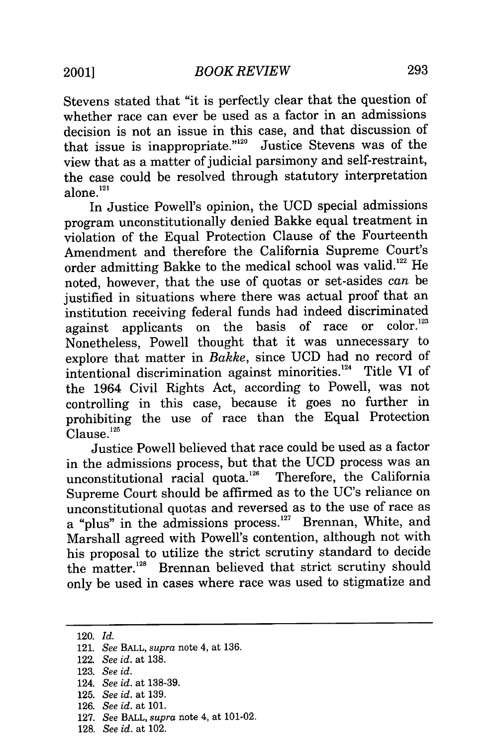Stevens stated that "it is perfectly clear that the question of whether race can ever be used as a factor in an admissions decision is not an issue in this case, and that discussion of that issue is inappropriate." $2^0$  Justice Stevens was of the view that as a matter of judicial parsimony and self-restraint, the case could be resolved through statutory interpretation alone.<sup>121</sup>

In Justice Powell's opinion, the UCD special admissions program unconstitutionally denied Bakke equal treatment in violation of the Equal Protection Clause of the Fourteenth Amendment and therefore the California Supreme Court's order admitting Bakke to the medical school was valid.<sup>122</sup> He noted, however, that the use of quotas or set-asides *can* be justified in situations where there was actual proof that an institution receiving federal funds had indeed discriminated<br>against applicants on the basis of race or color.<sup>123</sup> against applicants on the basis of race Nonetheless, Powell thought that it was unnecessary to explore that matter in *Bakke,* since UCD had no record of intentional discrimination against minorities.<sup>124</sup> Title VI of the 1964 Civil Rights Act, according to Powell, was not controlling in this case, because it goes no further in prohibiting the use of race than the Equal Protection  $C$ lause. $125$ 

Justice Powell believed that race could be used as a factor in the admissions process, but that the UCD process was an unconstitutional racial quota.<sup>126</sup> Therefore, the California Supreme Court should be affirmed as to the UC's reliance on unconstitutional quotas and reversed as to the use of race as a "plus" in the admissions process.<sup>127</sup> Brennan, White, and Marshall agreed with Powell's contention, although not with his proposal to utilize the strict scrutiny standard to decide the matter.<sup>128</sup> Brennan believed that strict scrutiny should only be used in cases where race was used to stigmatize and

<sup>120.</sup> *Id.*

<sup>121.</sup> *See* BALL, *supra* note 4, at **136.**

<sup>122.</sup> *See id.* at **138.**

**<sup>123.</sup>** *See id.*

<sup>124.</sup> *See id.* at **138-39.**

**<sup>125.</sup>** *See id.* at **139.**

**<sup>126.</sup>** *See id.* at **101.**

**<sup>127.</sup>** *See* BALL, *supra* note 4, at 101-02.

**<sup>128.</sup>** *See id.* at 102.